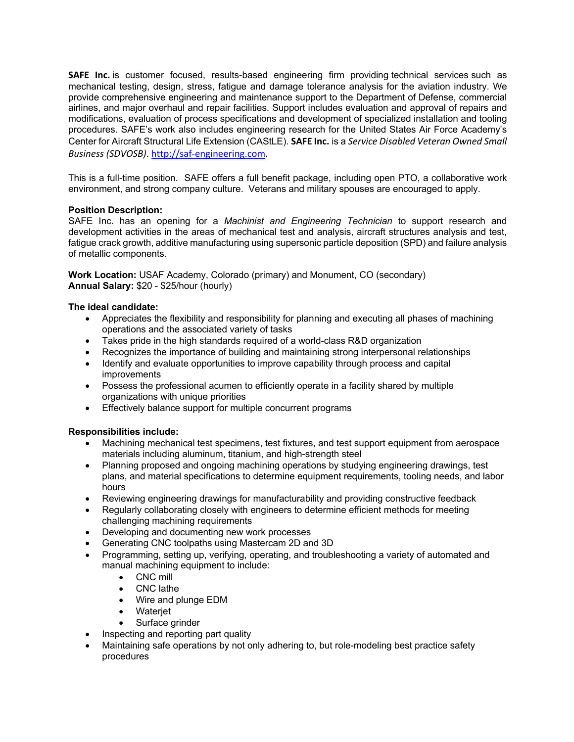**SAFE Inc.** is customer focused, results-based engineering firm providing technical services such as mechanical testing, design, stress, fatigue and damage tolerance analysis for the aviation industry. We provide comprehensive engineering and maintenance support to the Department of Defense, commercial airlines, and major overhaul and repair facilities. Support includes evaluation and approval of repairs and modifications, evaluation of process specifications and development of specialized installation and tooling procedures. SAFE's work also includes engineering research for the United States Air Force Academy's Center for Aircraft Structural Life Extension (CAStLE). **SAFE Inc.** is a *Service Disabled Veteran Owned Small Business (SDVOSB)*. http://saf-engineering.com.

This is a full-time position. SAFE offers a full benefit package, including open PTO, a collaborative work environment, and strong company culture. Veterans and military spouses are encouraged to apply.

# **Position Description:**

SAFE Inc. has an opening for a *Machinist and Engineering Technician* to support research and development activities in the areas of mechanical test and analysis, aircraft structures analysis and test, fatigue crack growth, additive manufacturing using supersonic particle deposition (SPD) and failure analysis of metallic components.

**Work Location:** USAF Academy, Colorado (primary) and Monument, CO (secondary) **Annual Salary:** \$20 - \$25/hour (hourly)

## **The ideal candidate:**

- Appreciates the flexibility and responsibility for planning and executing all phases of machining operations and the associated variety of tasks
- Takes pride in the high standards required of a world-class R&D organization
- Recognizes the importance of building and maintaining strong interpersonal relationships
- Identify and evaluate opportunities to improve capability through process and capital improvements
- Possess the professional acumen to efficiently operate in a facility shared by multiple organizations with unique priorities
- Effectively balance support for multiple concurrent programs

# **Responsibilities include:**

- Machining mechanical test specimens, test fixtures, and test support equipment from aerospace materials including aluminum, titanium, and high-strength steel
- Planning proposed and ongoing machining operations by studying engineering drawings, test plans, and material specifications to determine equipment requirements, tooling needs, and labor hours
- Reviewing engineering drawings for manufacturability and providing constructive feedback
- Regularly collaborating closely with engineers to determine efficient methods for meeting challenging machining requirements
- Developing and documenting new work processes
- Generating CNC toolpaths using Mastercam 2D and 3D
- Programming, setting up, verifying, operating, and troubleshooting a variety of automated and manual machining equipment to include:
	- CNC mill
	- CNC lathe
	- Wire and plunge EDM
	- Waterjet
	- Surface grinder
- Inspecting and reporting part quality
- Maintaining safe operations by not only adhering to, but role-modeling best practice safety procedures